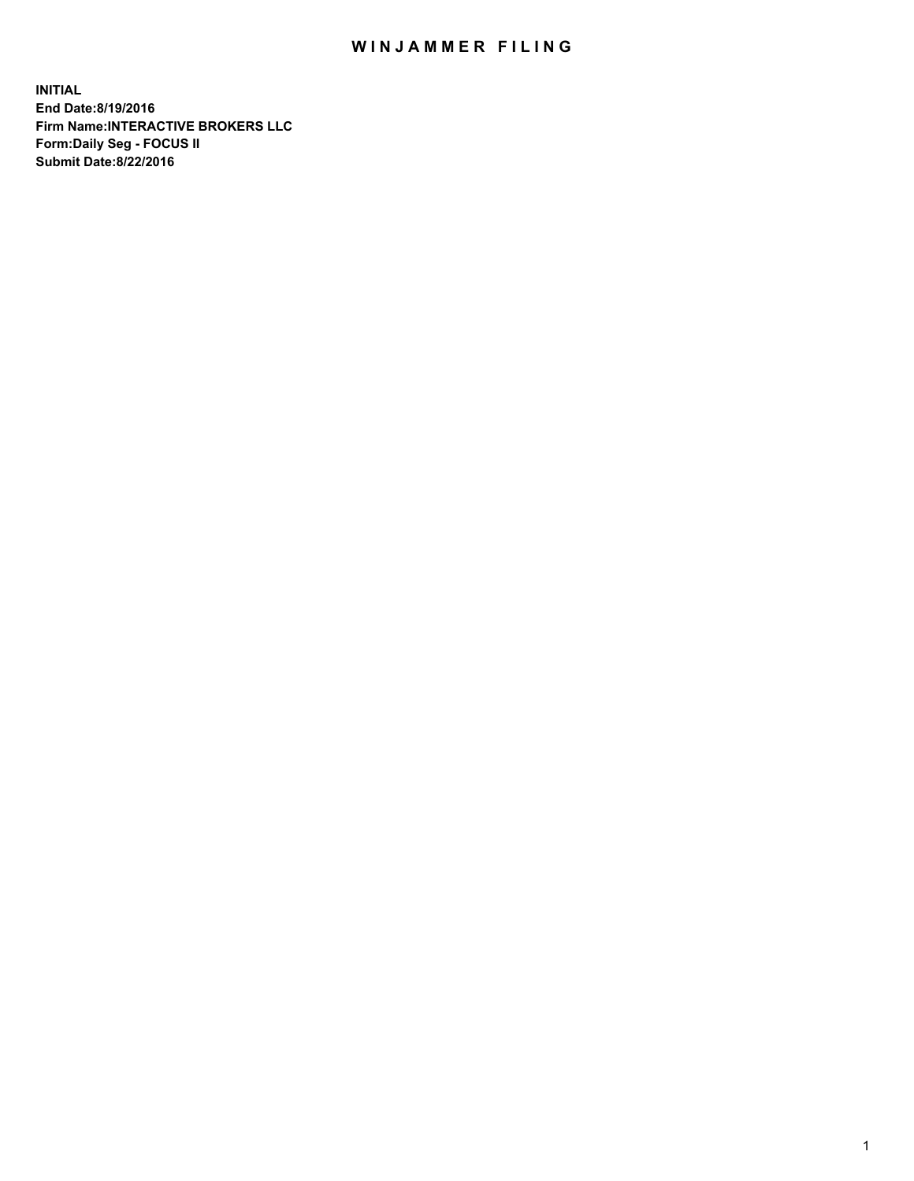## WIN JAMMER FILING

**INITIAL End Date:8/19/2016 Firm Name:INTERACTIVE BROKERS LLC Form:Daily Seg - FOCUS II Submit Date:8/22/2016**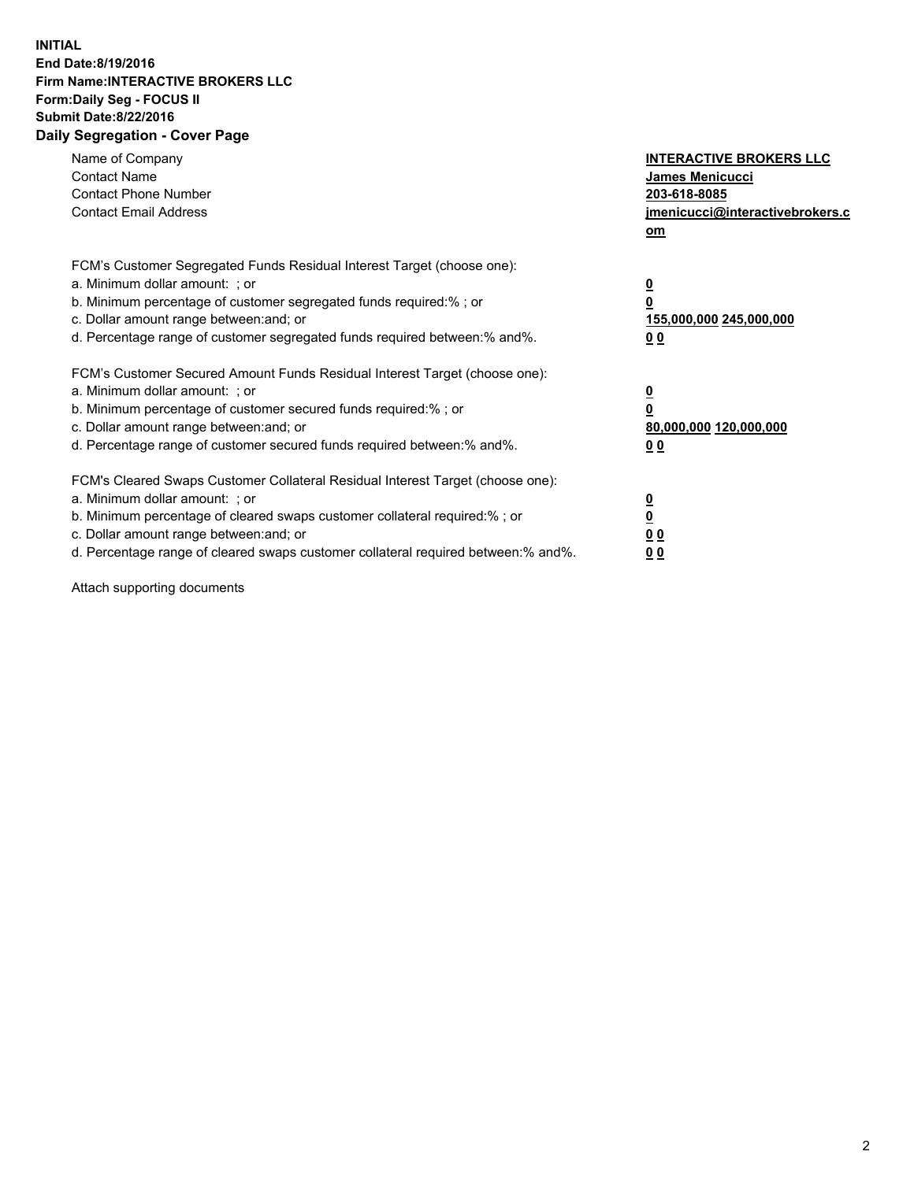## **INITIAL End Date:8/19/2016 Firm Name:INTERACTIVE BROKERS LLC Form:Daily Seg - FOCUS II Submit Date:8/22/2016 Daily Segregation - Cover Page**

| Name of Company<br><b>Contact Name</b><br><b>Contact Phone Number</b><br><b>Contact Email Address</b>                                                                                                                                                                                                                          | <b>INTERACTIVE BROKERS LLC</b><br>James Menicucci<br>203-618-8085<br>jmenicucci@interactivebrokers.c<br>om |
|--------------------------------------------------------------------------------------------------------------------------------------------------------------------------------------------------------------------------------------------------------------------------------------------------------------------------------|------------------------------------------------------------------------------------------------------------|
| FCM's Customer Segregated Funds Residual Interest Target (choose one):<br>a. Minimum dollar amount: ; or<br>b. Minimum percentage of customer segregated funds required:%; or<br>c. Dollar amount range between: and; or<br>d. Percentage range of customer segregated funds required between:% and%.                          | $\overline{\mathbf{0}}$<br>0<br>155,000,000 245,000,000<br>0 <sub>0</sub>                                  |
| FCM's Customer Secured Amount Funds Residual Interest Target (choose one):<br>a. Minimum dollar amount: ; or<br>b. Minimum percentage of customer secured funds required:%; or<br>c. Dollar amount range between: and; or<br>d. Percentage range of customer secured funds required between:% and%.                            | $\overline{\mathbf{0}}$<br>$\overline{\mathbf{0}}$<br>80,000,000 120,000,000<br>00                         |
| FCM's Cleared Swaps Customer Collateral Residual Interest Target (choose one):<br>a. Minimum dollar amount: ; or<br>b. Minimum percentage of cleared swaps customer collateral required:% ; or<br>c. Dollar amount range between: and; or<br>d. Percentage range of cleared swaps customer collateral required between:% and%. | $\overline{\mathbf{0}}$<br>$\overline{\mathbf{0}}$<br>0 <sub>0</sub><br><u>00</u>                          |

Attach supporting documents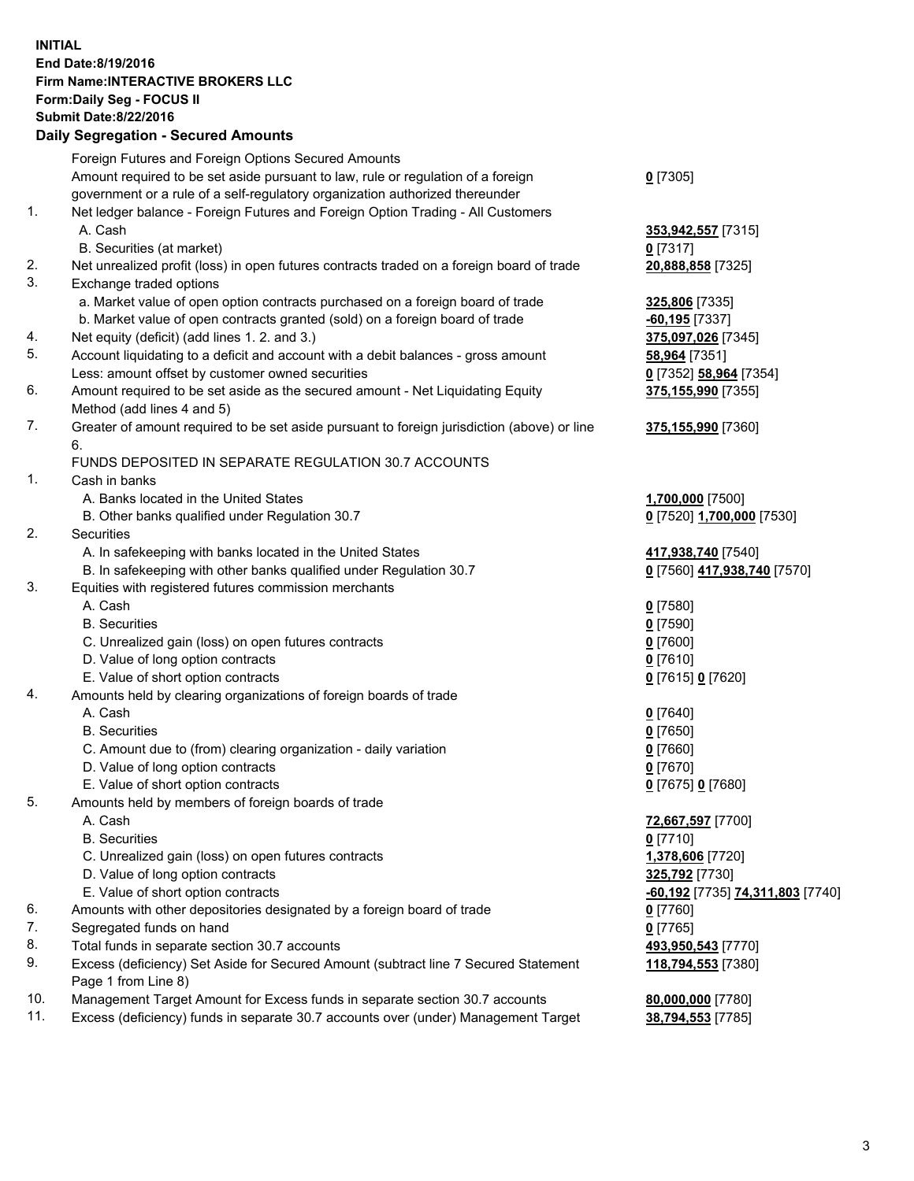## **INITIAL End Date:8/19/2016 Firm Name:INTERACTIVE BROKERS LLC Form:Daily Seg - FOCUS II Submit Date:8/22/2016 Daily Segregation - Secured Amounts**

|     | Daily Segregation - Secured Announts                                                                       |                                  |
|-----|------------------------------------------------------------------------------------------------------------|----------------------------------|
|     | Foreign Futures and Foreign Options Secured Amounts                                                        |                                  |
|     | Amount required to be set aside pursuant to law, rule or regulation of a foreign                           | $0$ [7305]                       |
|     | government or a rule of a self-regulatory organization authorized thereunder                               |                                  |
| 1.  | Net ledger balance - Foreign Futures and Foreign Option Trading - All Customers                            |                                  |
|     | A. Cash                                                                                                    | 353,942,557 [7315]               |
|     | B. Securities (at market)                                                                                  | $0$ [7317]                       |
| 2.  | Net unrealized profit (loss) in open futures contracts traded on a foreign board of trade                  | 20,888,858 [7325]                |
| 3.  | Exchange traded options                                                                                    |                                  |
|     | a. Market value of open option contracts purchased on a foreign board of trade                             | 325,806 [7335]                   |
|     | b. Market value of open contracts granted (sold) on a foreign board of trade                               | $-60,195$ [7337]                 |
| 4.  | Net equity (deficit) (add lines 1.2. and 3.)                                                               | 375,097,026 [7345]               |
| 5.  | Account liquidating to a deficit and account with a debit balances - gross amount                          | 58,964 [7351]                    |
|     | Less: amount offset by customer owned securities                                                           | 0 [7352] 58,964 [7354]           |
| 6.  | Amount required to be set aside as the secured amount - Net Liquidating Equity                             | 375, 155, 990 [7355]             |
|     | Method (add lines 4 and 5)                                                                                 |                                  |
| 7.  | Greater of amount required to be set aside pursuant to foreign jurisdiction (above) or line                | 375,155,990 [7360]               |
|     | 6.                                                                                                         |                                  |
|     | FUNDS DEPOSITED IN SEPARATE REGULATION 30.7 ACCOUNTS                                                       |                                  |
| 1.  | Cash in banks                                                                                              |                                  |
|     | A. Banks located in the United States                                                                      | 1,700,000 [7500]                 |
|     | B. Other banks qualified under Regulation 30.7                                                             | 0 [7520] 1,700,000 [7530]        |
| 2.  | Securities                                                                                                 |                                  |
|     | A. In safekeeping with banks located in the United States                                                  | 417,938,740 [7540]               |
|     | B. In safekeeping with other banks qualified under Regulation 30.7                                         | 0 [7560] 417,938,740 [7570]      |
| 3.  | Equities with registered futures commission merchants                                                      |                                  |
|     | A. Cash                                                                                                    | $0$ [7580]                       |
|     | <b>B.</b> Securities                                                                                       | $0$ [7590]                       |
|     | C. Unrealized gain (loss) on open futures contracts                                                        | $0$ [7600]                       |
|     | D. Value of long option contracts                                                                          | $0$ [7610]                       |
|     | E. Value of short option contracts                                                                         | 0 [7615] 0 [7620]                |
| 4.  | Amounts held by clearing organizations of foreign boards of trade                                          |                                  |
|     | A. Cash                                                                                                    | $0$ [7640]                       |
|     | <b>B.</b> Securities                                                                                       | $0$ [7650]                       |
|     | C. Amount due to (from) clearing organization - daily variation                                            | $0$ [7660]                       |
|     | D. Value of long option contracts                                                                          | $0$ [7670]                       |
|     | E. Value of short option contracts                                                                         | 0 [7675] 0 [7680]                |
| 5.  | Amounts held by members of foreign boards of trade                                                         |                                  |
|     | A. Cash                                                                                                    | 72,667,597 [7700]                |
|     | <b>B.</b> Securities                                                                                       | $0$ [7710]                       |
|     | C. Unrealized gain (loss) on open futures contracts                                                        | 1,378,606 [7720]                 |
|     | D. Value of long option contracts                                                                          | 325,792 [7730]                   |
|     | E. Value of short option contracts                                                                         | -60,192 [7735] 74,311,803 [7740] |
| 6.  | Amounts with other depositories designated by a foreign board of trade                                     | 0 [7760]                         |
| 7.  | Segregated funds on hand                                                                                   | $0$ [7765]                       |
| 8.  | Total funds in separate section 30.7 accounts                                                              | 493,950,543 [7770]               |
| 9.  | Excess (deficiency) Set Aside for Secured Amount (subtract line 7 Secured Statement<br>Page 1 from Line 8) | 118,794,553 [7380]               |
| 10. | Management Target Amount for Excess funds in separate section 30.7 accounts                                | 80,000,000 [7780]                |
| 11. | Excess (deficiency) funds in separate 30.7 accounts over (under) Management Target                         | 38,794,553 [7785]                |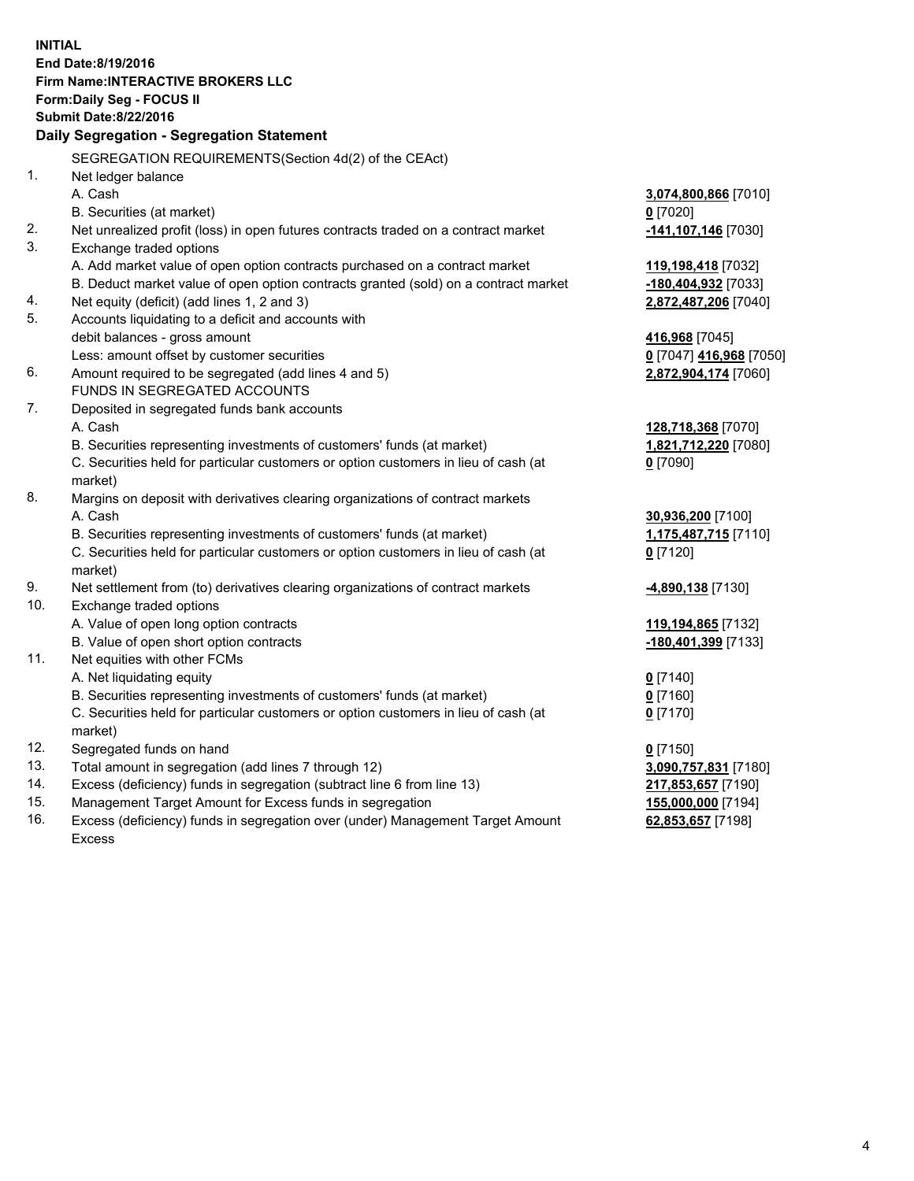**INITIAL End Date:8/19/2016 Firm Name:INTERACTIVE BROKERS LLC Form:Daily Seg - FOCUS II Submit Date:8/22/2016 Daily Segregation - Segregation Statement** SEGREGATION REQUIREMENTS(Section 4d(2) of the CEAct) 1. Net ledger balance A. Cash **3,074,800,866** [7010] B. Securities (at market) **0** [7020] 2. Net unrealized profit (loss) in open futures contracts traded on a contract market **-141,107,146** [7030] 3. Exchange traded options A. Add market value of open option contracts purchased on a contract market **119,198,418** [7032] B. Deduct market value of open option contracts granted (sold) on a contract market **-180,404,932** [7033] 4. Net equity (deficit) (add lines 1, 2 and 3) **2,872,487,206** [7040] 5. Accounts liquidating to a deficit and accounts with debit balances - gross amount **416,968** [7045] Less: amount offset by customer securities **0** [7047] **416,968** [7050] 6. Amount required to be segregated (add lines 4 and 5) **2,872,904,174** [7060] FUNDS IN SEGREGATED ACCOUNTS 7. Deposited in segregated funds bank accounts A. Cash **128,718,368** [7070] B. Securities representing investments of customers' funds (at market) **1,821,712,220** [7080] C. Securities held for particular customers or option customers in lieu of cash (at market) **0** [7090] 8. Margins on deposit with derivatives clearing organizations of contract markets A. Cash **30,936,200** [7100] B. Securities representing investments of customers' funds (at market) **1,175,487,715** [7110] C. Securities held for particular customers or option customers in lieu of cash (at market) **0** [7120] 9. Net settlement from (to) derivatives clearing organizations of contract markets **-4,890,138** [7130] 10. Exchange traded options A. Value of open long option contracts **119,194,865** [7132] B. Value of open short option contracts **-180,401,399** [7133] 11. Net equities with other FCMs A. Net liquidating equity **0** [7140] B. Securities representing investments of customers' funds (at market) **0** [7160] C. Securities held for particular customers or option customers in lieu of cash (at market) **0** [7170] 12. Segregated funds on hand **0** [7150] 13. Total amount in segregation (add lines 7 through 12) **3,090,757,831** [7180] 14. Excess (deficiency) funds in segregation (subtract line 6 from line 13) **217,853,657** [7190] 15. Management Target Amount for Excess funds in segregation **155,000,000** [7194] **62,853,657** [7198]

16. Excess (deficiency) funds in segregation over (under) Management Target Amount Excess